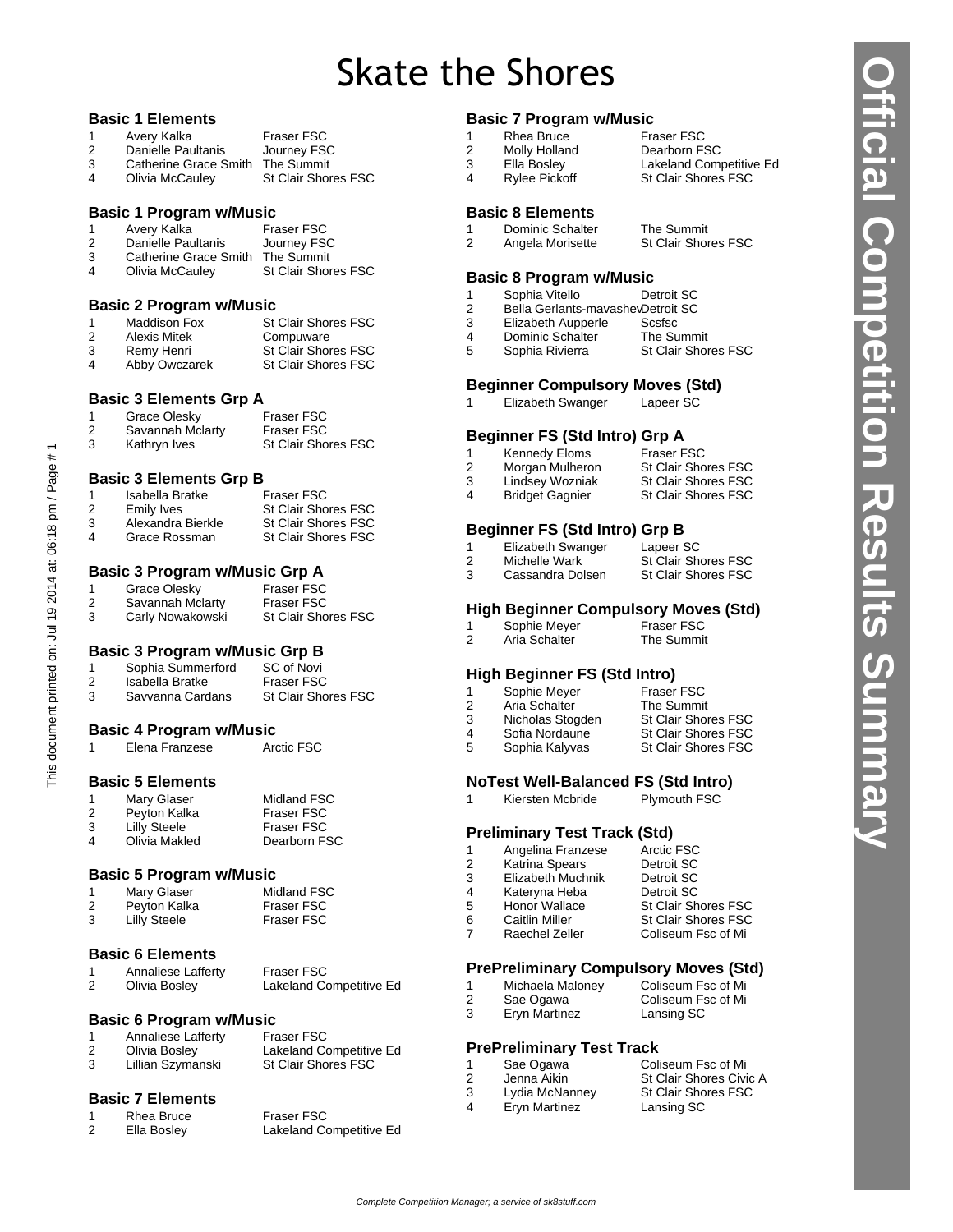# Skate the Shores

#### **Basic 1 Elements**

|   | Avery Kalka           | <b>Fraser FSC</b>          |
|---|-----------------------|----------------------------|
| 2 | Danielle Paultanis    | Journey FSC                |
| 3 | Catherine Grace Smith | The Summit                 |
| 4 | Olivia McCauley       | <b>St Clair Shores FSC</b> |
|   |                       |                            |

#### **Basic 1 Program w/Music**

|   | Avery Kalka           | <b>Fraser FSC</b> |
|---|-----------------------|-------------------|
| 2 | Danielle Paultanis    | Journey FSC       |
| ົ | Cotharina Cross Cmith | The Cummit        |

 Catherine Grace Smith The Summit St Clair Shores FSC

#### **Basic 2 Program w/Music**

|   | Maddison Fox  | <b>St Clair Shores FSC</b> |
|---|---------------|----------------------------|
| 2 | Alexis Mitek  | Compuware                  |
| 3 | Remy Henri    | <b>St Clair Shores FSC</b> |
| 4 | Abby Owczarek | <b>St Clair Shores FSC</b> |

#### **Basic 3 Elements Grp A**

|   | Grace Olesky     | <b>Fraser FSC</b>   |
|---|------------------|---------------------|
| 2 | Savannah Mclarty | <b>Fraser FSC</b>   |
| 3 | Kathryn Ives     | St Clair Shores FSC |

# **Basic 3 Elements Grp B**

|                | Isabella Bratke   | Fraser FSC                 |
|----------------|-------------------|----------------------------|
| 2              | Emily Ives        | <b>St Clair Shores FSC</b> |
| 3              | Alexandra Bierkle | <b>St Clair Shores FSC</b> |
| $\overline{4}$ | Grace Rossman     | <b>St Clair Shores FSC</b> |

# **Basic 3 Program w/Music Grp A**

|   | Grace Olesky     | <b>Fraser FSC</b>          |
|---|------------------|----------------------------|
| 2 | Savannah Mclarty | <b>Fraser FSC</b>          |
| 3 | Carly Nowakowski | <b>St Clair Shores FSC</b> |

#### **Basic 3 Program w/Music Grp B**

|   | Sophia Summerford | SC of Novi                 |
|---|-------------------|----------------------------|
| 2 | Isabella Bratke   | <b>Fraser FSC</b>          |
| 3 | Savvanna Cardans  | <b>St Clair Shores FSC</b> |

#### **Basic 4 Program w/Music**

| Elena Franzese | Arctic FSC |
|----------------|------------|

#### **Basic 5 Elements**

This document printed on: Jul 19 2014 at: 06:18 pm / Page # 1

This document printed on: Jul 19 2014 at: 06:18 pm / Page #1

| 1 | Mary Glaser   | Midland FSC       |
|---|---------------|-------------------|
| 2 | Peyton Kalka  | <b>Fraser FSC</b> |
| 3 | Lilly Steele  | <b>Fraser FSC</b> |
| 4 | Olivia Makled | Dearborn FSC      |
|   |               |                   |

#### **Basic 5 Program w/Music**

| 1 | Mary Glaser  | Midland FSC       |
|---|--------------|-------------------|
| 2 | Peyton Kalka | <b>Fraser FSC</b> |
| 3 | Lilly Steele | <b>Fraser FSC</b> |

#### **Basic 6 Elements**

|   | Annaliese Lafferty | <b>Fraser FSC</b>       |
|---|--------------------|-------------------------|
| 2 | Olivia Bosley      | Lakeland Competitive Ed |

#### **Basic 6 Program w/Music**

|   | Annaliese Lafferty | <b>Fraser FSC</b>       |
|---|--------------------|-------------------------|
| 2 | Olivia Bosley      | Lakeland Competitive Ed |
| 3 | Lillian Szymanski  | St Clair Shores FSC     |

#### **Basic 7 Elements**

|   | Rhea Bruce  | <b>Fraser FSC</b>       |
|---|-------------|-------------------------|
| 2 | Ella Bosley | Lakeland Competitive Ed |

# **Basic 7 Program w/Music**

|   | Rhea Bruce    | <b>Fraser FSC</b>          |
|---|---------------|----------------------------|
| 2 | Molly Holland | Dearborn FSC               |
| 3 | Ella Bosley   | Lakeland Competitive Ed    |
| 4 | Rylee Pickoff | <b>St Clair Shores FSC</b> |
|   |               |                            |

#### **Basic 8 Elements**

|   | Dominic Schalter | The Summit          |
|---|------------------|---------------------|
| 2 | Angela Morisette | St Clair Shores FSC |

#### **Basic 8 Program w/Music**

- 1 Sophia Vitello Detroit SC
- Bella Gerlants-mavashevDetroit SC
- Elizabeth Aupperle Scsfsc
- Dominic Schalter The Summit
- 5 Sophia Rivierra St Clair Shores FSC

# **Beginner Compulsory Moves (Std)**

Elizabeth Swanger Lapeer SC

#### **Beginner FS (Std Intro) Grp A**

| 1 | Kennedy Eloms          | <b>Fraser FSC</b>          |
|---|------------------------|----------------------------|
| 2 | Morgan Mulheron        | <b>St Clair Shores FSC</b> |
| 3 | Lindsey Wozniak        | <b>St Clair Shores FSC</b> |
| 4 | <b>Bridget Gagnier</b> | <b>St Clair Shores FSC</b> |

# **Beginner FS (Std Intro) Grp B**

| <b>Elizabeth Swanger</b> | Lapeer SC                  |
|--------------------------|----------------------------|
| Michelle Wark            | <b>St Clair Shores FSC</b> |
| Cassandra Dolsen         | <b>St Clair Shores FSC</b> |
|                          |                            |

#### **High Beginner Compulsory Moves (Std)**

|   | Sophie Meyer  | <b>Fraser FSC</b> |  |
|---|---------------|-------------------|--|
| 2 | Aria Schalter | The Summit        |  |

#### **High Beginner FS (Std Intro)**

|    | Sophie Meyer     | <b>Fraser FSC</b>          |
|----|------------------|----------------------------|
| 2  | Aria Schalter    | The Summit                 |
| -3 | Nicholas Stogden | <b>St Clair Shores FSC</b> |
| 4  | Sofia Nordaune   | <b>St Clair Shores FSC</b> |
| -5 | Sophia Kalyvas   | St Clair Shores FSC        |

# **NoTest Well-Balanced FS (Std Intro)**

| <b>Plymouth FSC</b><br>Kiersten Mcbride |  |  |
|-----------------------------------------|--|--|
|                                         |  |  |

# **Preliminary Test Track (Std)**

|   | Angelina Franzese     | Arctic FSC                 |
|---|-----------------------|----------------------------|
| 2 | Katrina Spears        | Detroit SC                 |
| 3 | Elizabeth Muchnik     | Detroit SC                 |
| 4 | Kateryna Heba         | Detroit SC                 |
| 5 | Honor Wallace         | St Clair Shores FSC        |
| 6 | <b>Caitlin Miller</b> | <b>St Clair Shores FSC</b> |
|   | Raechel Zeller        | Coliseum Fsc of Mi         |
|   |                       |                            |

#### **PrePreliminary Compulsory Moves (Std)** Coliseum Fsc of Mi

|   | Michaela Maloney | Coliseum Fsc of Mi |
|---|------------------|--------------------|
| 2 | Sae Ogawa        | Coliseum Fsc of Mi |
| 3 | Eryn Martinez    | Lansing SC         |

#### **PrePreliminary Test Track**

|   | Sae Ogawa      | Coliseum Fsc of Mi         |
|---|----------------|----------------------------|
| 2 | Jenna Aikin    | St Clair Shores Civic A    |
| 3 | Lydia McNanney | <b>St Clair Shores FSC</b> |
| 4 | Eryn Martinez  | Lansing SC                 |